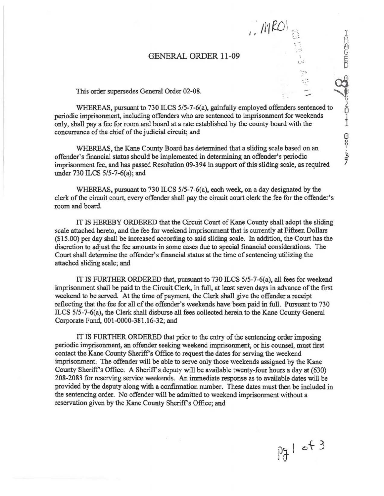## GENERAL ORDER 11-09

I,· *05*

..

J,

E

 $_1^{\ddag}$ 

'  $rac{3}{2}$ 7

This order supersedes General Order 02-08.<br>WHEREAS, pursuant to 730 ILCS 5/5-7-6(a), gainfully employed offenders sentenced to periodic imprisonment, including offenders who are sentenced to imprisonment for weekends only, shall pay a fee for room and board at a rate established by the county board with the concurrence of the chief of the judicial circuit; and

WHEREAS, the Kane County Board has determined that a sliding scale based on an offender's financial status should be implemented in determining an offender's periodic imprisonment fee, and has passed Resolution 09-394 in support of this sliding scale, as required under 730 ILCS 5/5-7-6(a); and

WHEREAS, pursuant to 730 ILCS 5/5-7-6(a), each week, on a day designated by the clerk of the circuit court, every offender shall pay the circuit court clerk the fee for the offender's room and board.

IT IS HEREBY ORDERED that the Circuit Court of Kane County shall adopt the sliding scale attached hereto, and the fee for weekend imprisonment that is currently at Fifteen Dollars (\$15.00) per day shall be increased according to said sliding scale. In addition, the Court bas the discretion to adjust the fee amounts in some cases due to special financial considerations. The Court shall determine the offender's financial status at the time of sentencing utilizing the attached sliding scale; and

IT IS FURTHER ORDERED that, pursuant to 730 ILCS 5/5-7-6(a), all fees for weekend imprisonment shall be paid to the Circuit Clerk, in full, at least seven days in advance of the first weekend to be served. At the time of payment, the Clerk shall give the offender a receipt reflecting that the fee for all of the offender's weekends have been paid in full. Pursuant to 730 ILCS 5/5-7-6(a), the Clerk shall disburse all fees collected herein to the Kane County General Corporate Fund, 001-0000-381.16-32; and

IT IS FURTHER ORDERED that prior to the entry of the sentencing order imposing periodic imprisonment, an offender seeking weekend imprisonment, or his counsel, must first contact the Kane County Sheriff's Office to request the dates for serving the weekend imprisonment. The offender will be able to serve only those weekends assigned by the Kane County Sheriff's Office. A Sheriff's deputy will be available twenty-four hours a day at (630) 208-2083 for reserving service weekends. An immediate response as to available dates will be provided by the deputy along with a confirmation number. These dates must then be included in the sentencing order. No offender will be admitted to weekend imprisonment without a reservation given by the Kane County Sheriff's Office; and

 $p_f$  of 3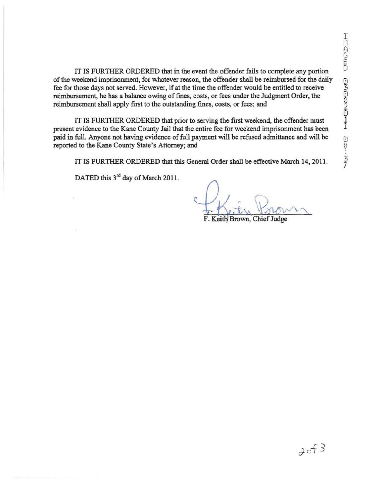IT IS FURTHER ORDERED that in the event the offender fails to complete any portion of the weekend imprisonment, for whatever reason, the offender shall be reimbursed for the daily fee for those days not served. However, if at the time the offender would be entitled to receive reimbursement, he bas a balance owing of fines, costs, or fees under the Judgment Order, the reimbursement shall apply first to the outstanding fines, costs, or fees; and

IT IS FURTHER ORDERED that prior to serving the first weekend, the offender must present evidence to the Kane County Jail that the entire fee for weekend imprisonment has been paid in full. Anyone not having evidence of full payment will be refused admittance and will be reported to the Kane County State's Attorney; and

IT IS FURTHER ORDERED that this General Order shall be effective March 14, 2011.

DATED this 3<sup>rd</sup> day of March 2011.

F. Keith Brown, Chief Judge

 $3c + 3$